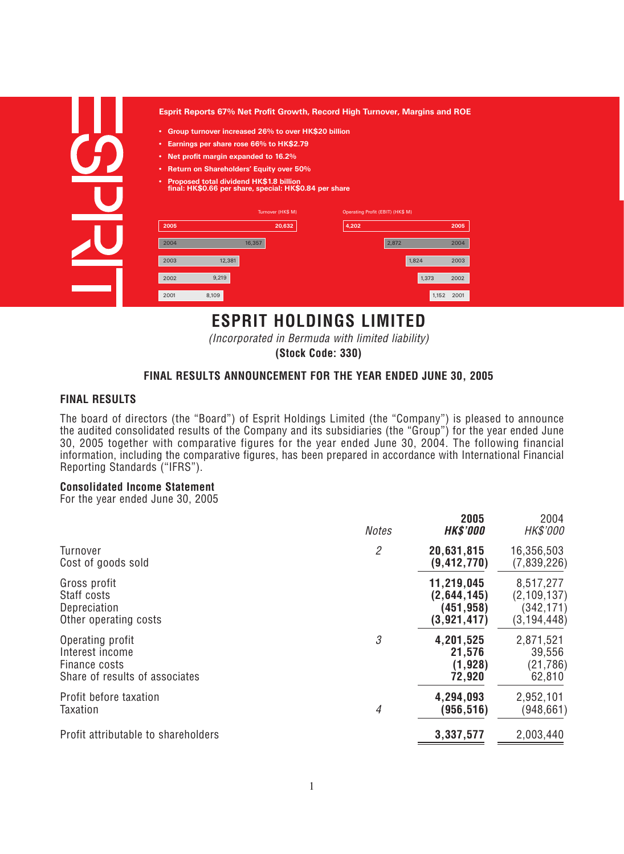| ٠<br>٠<br>٠<br>٠<br>٠ | Group turnover increased 26% to over HK\$20 billion<br>Earnings per share rose 66% to HK\$2.79<br>Net profit margin expanded to 16.2%<br><b>Return on Shareholders' Equity over 50%</b><br><b>Proposed total dividend HK\$1.8 billion</b><br>final: HK\$0.66 per share, special: HK\$0.84 per share |                             |                                           |       |      |
|-----------------------|-----------------------------------------------------------------------------------------------------------------------------------------------------------------------------------------------------------------------------------------------------------------------------------------------------|-----------------------------|-------------------------------------------|-------|------|
|                       |                                                                                                                                                                                                                                                                                                     |                             |                                           |       |      |
| 2005                  |                                                                                                                                                                                                                                                                                                     | Turnover (HK\$ M)<br>20,632 | Operating Profit (EBIT) (HK\$ M)<br>4,202 |       | 2005 |
| 2004                  | 16,357                                                                                                                                                                                                                                                                                              |                             |                                           | 2,872 | 2004 |
| 2003                  | 12,381                                                                                                                                                                                                                                                                                              |                             |                                           | 1,824 | 2003 |
| 2002                  | 9,219                                                                                                                                                                                                                                                                                               |                             |                                           | 1.373 | 2002 |

# **ESPRIT HOLDINGS LIMITED**

*(Incorporated in Bermuda with limited liability)*

**(Stock Code: 330)**

### **FINAL RESULTS ANNOUNCEMENT FOR THE YEAR ENDED JUNE 30, 2005**

### **FINAL RESULTS**

*The board of directors (the "Board") of Esprit Holdings Limited (the "Company") is pleased to announce the audited consolidated results of the Company and its subsidiaries (the "Group") for the year ended June 30, 2005 together with comparative figures for the year ended June 30, 2004. The following financial information, including the comparative figures, has been prepared in accordance with International Financial Reporting Standards ("IFRS").*

### **Consolidated Income Statement**

*For the year ended June 30, 2005*

| $\mathfrak{2}$<br>20,631,815<br>16,356,503<br>Turnover<br>Cost of goods sold<br>(9, 412, 770)<br>11,219,045<br>8,517,277<br>Gross profit<br>Staff costs<br>(2,644,145)<br>(451, 958)<br>Depreciation<br>(3, 921, 417)<br>Other operating costs<br>3<br>2,871,521<br>4,201,525<br>Operating profit<br>Interest income<br>39,556<br>21,576<br>(1, 928)<br>Finance costs<br>Share of results of associates<br>62,810<br>72,920<br>Profit before taxation<br>4,294,093<br>2,952,101<br>Taxation<br>4<br>(956,516)<br>Profit attributable to shareholders<br>2,003,440<br>3,337,577 | <b>Notes</b> | 2005<br><b>HK\$'000</b> | 2004<br>HK\$'000                             |
|--------------------------------------------------------------------------------------------------------------------------------------------------------------------------------------------------------------------------------------------------------------------------------------------------------------------------------------------------------------------------------------------------------------------------------------------------------------------------------------------------------------------------------------------------------------------------------|--------------|-------------------------|----------------------------------------------|
|                                                                                                                                                                                                                                                                                                                                                                                                                                                                                                                                                                                |              |                         | (7,839,226)                                  |
|                                                                                                                                                                                                                                                                                                                                                                                                                                                                                                                                                                                |              |                         | (2, 109, 137)<br>(342, 171)<br>(3, 194, 448) |
|                                                                                                                                                                                                                                                                                                                                                                                                                                                                                                                                                                                |              |                         | (21, 786)                                    |
|                                                                                                                                                                                                                                                                                                                                                                                                                                                                                                                                                                                |              |                         | (948, 661)                                   |
|                                                                                                                                                                                                                                                                                                                                                                                                                                                                                                                                                                                |              |                         |                                              |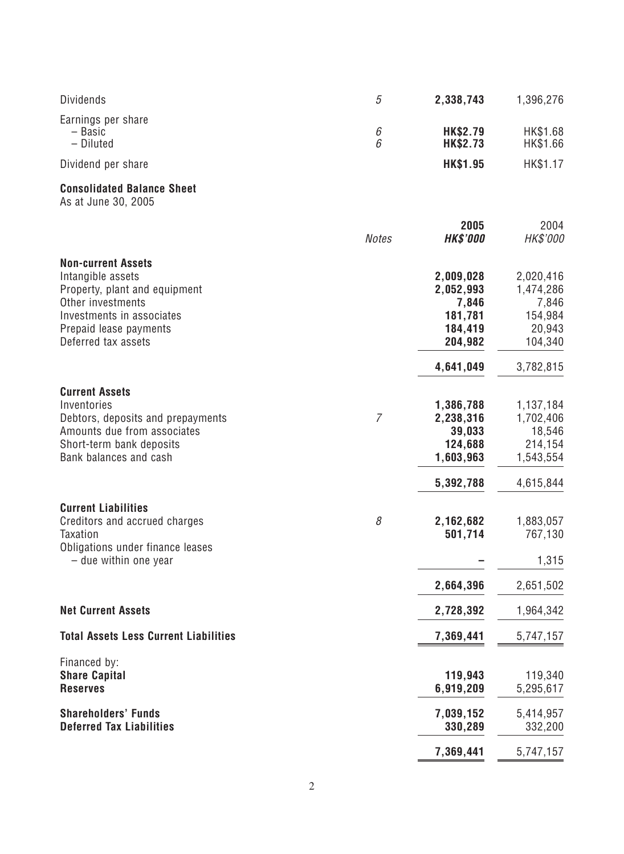| <b>Dividends</b>                                                                                                                                                                   | 5              | 2,338,743                                                             | 1,396,276                                                             |
|------------------------------------------------------------------------------------------------------------------------------------------------------------------------------------|----------------|-----------------------------------------------------------------------|-----------------------------------------------------------------------|
| Earnings per share<br>- Basic<br>- Diluted                                                                                                                                         | 6<br>6         | <b>HK\$2.79</b><br><b>HK\$2.73</b>                                    | HK\$1.68<br>HK\$1.66                                                  |
| Dividend per share                                                                                                                                                                 |                | <b>HK\$1.95</b>                                                       | HK\$1.17                                                              |
| <b>Consolidated Balance Sheet</b><br>As at June 30, 2005                                                                                                                           |                |                                                                       |                                                                       |
|                                                                                                                                                                                    | <b>Notes</b>   | 2005<br><b>HK\$'000</b>                                               | 2004<br>HK\$'000                                                      |
| <b>Non-current Assets</b><br>Intangible assets<br>Property, plant and equipment<br>Other investments<br>Investments in associates<br>Prepaid lease payments<br>Deferred tax assets |                | 2,009,028<br>2,052,993<br>7,846<br>181,781<br>184,419<br>204,982      | 2,020,416<br>1,474,286<br>7,846<br>154,984<br>20,943<br>104,340       |
|                                                                                                                                                                                    |                | 4,641,049                                                             | 3,782,815                                                             |
| <b>Current Assets</b><br>Inventories<br>Debtors, deposits and prepayments<br>Amounts due from associates<br>Short-term bank deposits<br>Bank balances and cash                     | $\overline{7}$ | 1,386,788<br>2,238,316<br>39,033<br>124,688<br>1,603,963<br>5,392,788 | 1,137,184<br>1,702,406<br>18,546<br>214,154<br>1,543,554<br>4,615,844 |
| <b>Current Liabilities</b><br>Creditors and accrued charges<br><b>Taxation</b><br>Obligations under finance leases<br>$-$ due within one year                                      | 8              | 2,162,682<br>501,714                                                  | 1,883,057<br>767,130<br>1,315                                         |
|                                                                                                                                                                                    |                | 2,664,396                                                             | 2,651,502                                                             |
| <b>Net Current Assets</b>                                                                                                                                                          |                | 2,728,392                                                             | 1,964,342                                                             |
| <b>Total Assets Less Current Liabilities</b>                                                                                                                                       |                | 7,369,441                                                             | 5,747,157                                                             |
| Financed by:<br><b>Share Capital</b><br><b>Reserves</b>                                                                                                                            |                | 119,943<br>6,919,209                                                  | 119,340<br>5,295,617                                                  |
| <b>Shareholders' Funds</b><br><b>Deferred Tax Liabilities</b>                                                                                                                      |                | 7,039,152<br>330,289                                                  | 5,414,957<br>332,200                                                  |
|                                                                                                                                                                                    |                | 7,369,441                                                             | 5,747,157                                                             |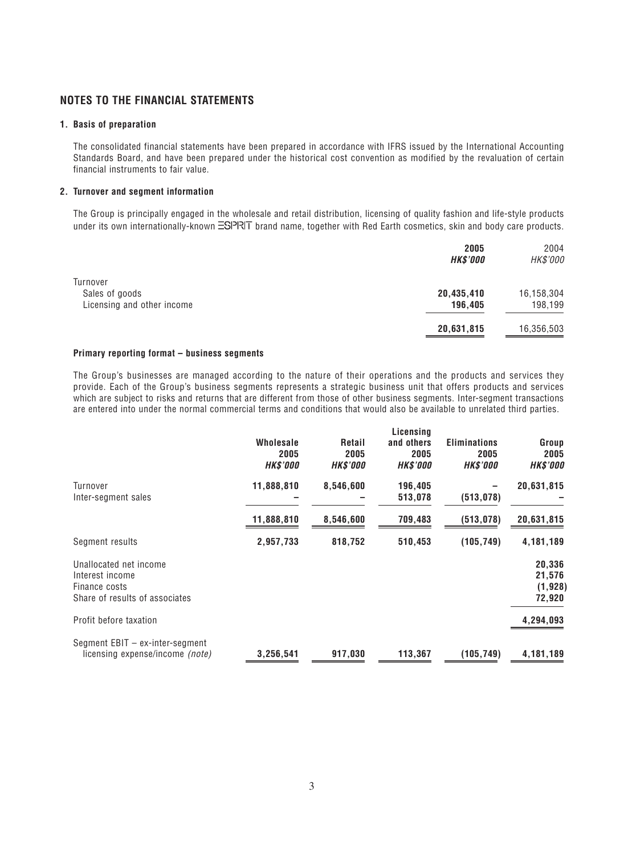### **NOTES TO THE FINANCIAL STATEMENTS**

#### **1. Basis of preparation**

*The consolidated financial statements have been prepared in accordance with IFRS issued by the International Accounting Standards Board, and have been prepared under the historical cost convention as modified by the revaluation of certain financial instruments to fair value.*

#### **2. Turnover and segment information**

*The Group is principally engaged in the wholesale and retail distribution, licensing of quality fashion and life-style products* under its own internationally-known **ESPRIT** brand name, together with Red Earth cosmetics, skin and body care products.

|                            | 2005<br><b>HK\$'000</b> | 2004<br>HK\$'000 |
|----------------------------|-------------------------|------------------|
| Turnover                   |                         |                  |
| Sales of goods             | 20,435,410              | 16,158,304       |
| Licensing and other income | 196,405                 | 198,199          |
|                            | 20,631,815              | 16,356,503       |

#### **Primary reporting format – business segments**

*The Group's businesses are managed according to the nature of their operations and the products and services they provide. Each of the Group's business segments represents a strategic business unit that offers products and services which are subject to risks and returns that are different from those of other business segments. Inter-segment transactions are entered into under the normal commercial terms and conditions that would also be available to unrelated third parties.*

|                                                                                              | <b>Wholesale</b>        | Retail                  | Licensing<br>and others | <b>Eliminations</b>     | Group                                  |
|----------------------------------------------------------------------------------------------|-------------------------|-------------------------|-------------------------|-------------------------|----------------------------------------|
|                                                                                              | 2005<br><b>HK\$'000</b> | 2005<br><b>HK\$'000</b> | 2005<br><b>HK\$'000</b> | 2005<br><b>HK\$'000</b> | 2005<br><b>HK\$'000</b>                |
| Turnover<br>Inter-segment sales                                                              | 11,888,810              | 8,546,600               | 196,405<br>513,078      | (513, 078)              | 20,631,815                             |
|                                                                                              | 11,888,810              | 8,546,600               | 709,483                 | (513, 078)              | 20,631,815                             |
| Segment results                                                                              | 2,957,733               | 818,752                 | 510,453                 | (105, 749)              | 4,181,189                              |
| Unallocated net income<br>Interest income<br>Finance costs<br>Share of results of associates |                         |                         |                         |                         | 20,336<br>21,576<br>(1, 928)<br>72,920 |
| Profit before taxation                                                                       |                         |                         |                         |                         | 4,294,093                              |
| Segment EBIT - ex-inter-segment<br>licensing expense/income (note)                           | 3,256,541               | 917,030                 | 113,367                 | (105, 749)              | 4,181,189                              |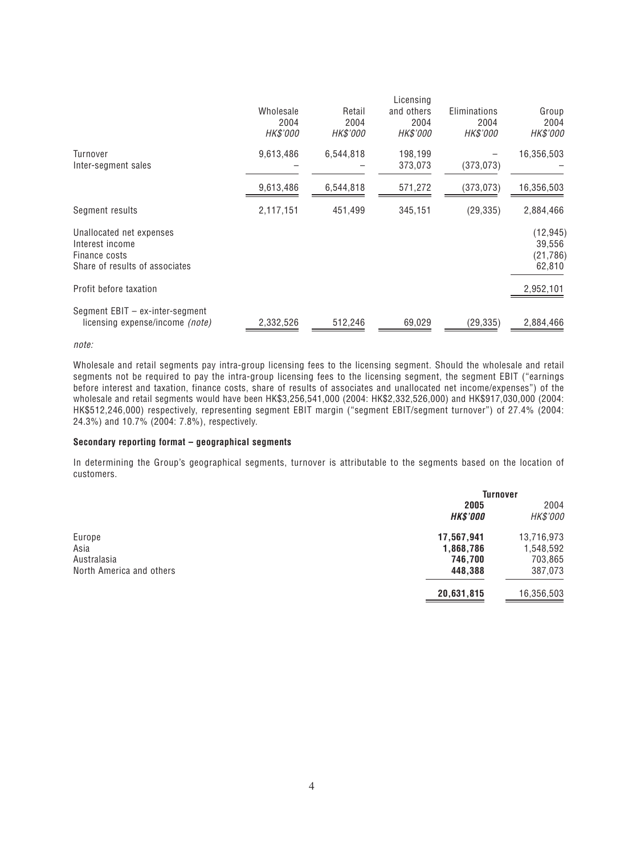|                                 |           |                 | Licensing  |                 |            |
|---------------------------------|-----------|-----------------|------------|-----------------|------------|
|                                 | Wholesale | Retail          | and others | Eliminations    | Group      |
|                                 | 2004      | 2004            | 2004       | 2004            | 2004       |
|                                 | HK\$'000  | <b>HK\$'000</b> | HK\$'000   | <b>HK\$'000</b> | HK\$'000   |
| Turnover                        | 9,613,486 | 6,544,818       | 198,199    |                 | 16,356,503 |
| Inter-segment sales             |           |                 | 373,073    | (373, 073)      |            |
|                                 | 9,613,486 | 6,544,818       | 571,272    | (373, 073)      | 16,356,503 |
| Segment results                 | 2,117,151 | 451,499         | 345,151    | (29, 335)       | 2,884,466  |
| Unallocated net expenses        |           |                 |            |                 | (12, 945)  |
| Interest income                 |           |                 |            |                 | 39,556     |
| Finance costs                   |           |                 |            |                 | (21,786)   |
| Share of results of associates  |           |                 |            |                 | 62,810     |
| Profit before taxation          |           |                 |            |                 | 2,952,101  |
| Segment EBIT - ex-inter-segment |           |                 |            |                 |            |
| licensing expense/income (note) | 2,332,526 | 512,246         | 69,029     | (29, 335)       | 2,884,466  |
|                                 |           |                 |            |                 |            |

*note:*

*Wholesale and retail segments pay intra-group licensing fees to the licensing segment. Should the wholesale and retail segments not be required to pay the intra-group licensing fees to the licensing segment, the segment EBIT ("earnings before interest and taxation, finance costs, share of results of associates and unallocated net income/expenses") of the wholesale and retail segments would have been HK\$3,256,541,000 (2004: HK\$2,332,526,000) and HK\$917,030,000 (2004: HK\$512,246,000) respectively, representing segment EBIT margin ("segment EBIT/segment turnover") of 27.4% (2004: 24.3%) and 10.7% (2004: 7.8%), respectively.*

#### **Secondary reporting format – geographical segments**

*In determining the Group's geographical segments, turnover is attributable to the segments based on the location of customers.*

|                 | <b>Turnover</b> |  |
|-----------------|-----------------|--|
| 2005            | 2004            |  |
| <b>HK\$'000</b> | HK\$'000        |  |
| 17,567,941      | 13,716,973      |  |
| 1,868,786       | 1,548,592       |  |
| 746,700         | 703,865         |  |
| 448,388         | 387,073         |  |
| 20,631,815      | 16,356,503      |  |
|                 |                 |  |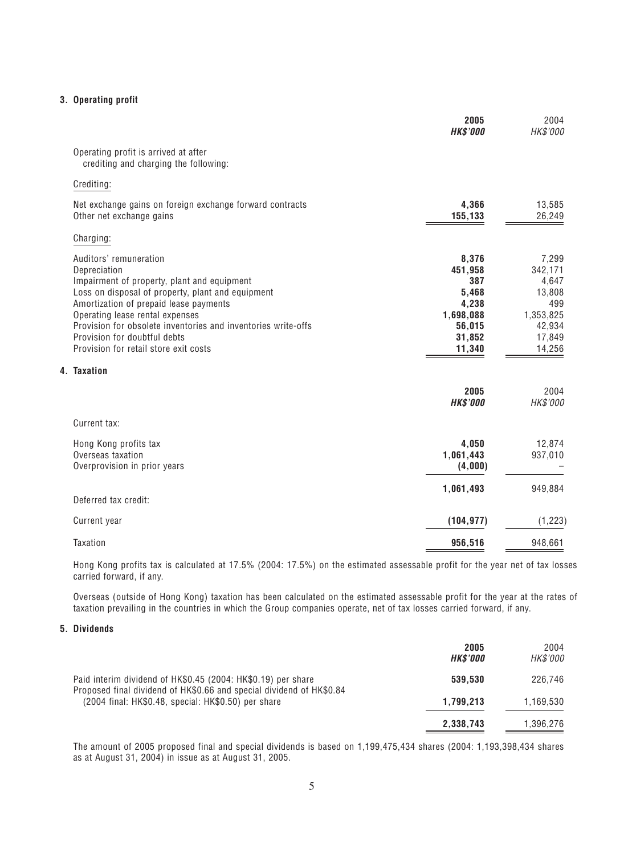#### **3. Operating profit**

|                                                                                                                                                                                                                                                                                                                                                                   | 2005<br><b>HK\$'000</b>                                                              | 2004<br>HK\$'000                                                                      |
|-------------------------------------------------------------------------------------------------------------------------------------------------------------------------------------------------------------------------------------------------------------------------------------------------------------------------------------------------------------------|--------------------------------------------------------------------------------------|---------------------------------------------------------------------------------------|
| Operating profit is arrived at after<br>crediting and charging the following:                                                                                                                                                                                                                                                                                     |                                                                                      |                                                                                       |
| Crediting:                                                                                                                                                                                                                                                                                                                                                        |                                                                                      |                                                                                       |
| Net exchange gains on foreign exchange forward contracts<br>Other net exchange gains                                                                                                                                                                                                                                                                              | 4,366<br>155,133                                                                     | 13,585<br>26,249                                                                      |
| Charging:                                                                                                                                                                                                                                                                                                                                                         |                                                                                      |                                                                                       |
| Auditors' remuneration<br>Depreciation<br>Impairment of property, plant and equipment<br>Loss on disposal of property, plant and equipment<br>Amortization of prepaid lease payments<br>Operating lease rental expenses<br>Provision for obsolete inventories and inventories write-offs<br>Provision for doubtful debts<br>Provision for retail store exit costs | 8,376<br>451,958<br>387<br>5,468<br>4,238<br>1,698,088<br>56,015<br>31,852<br>11,340 | 7,299<br>342,171<br>4,647<br>13,808<br>499<br>1,353,825<br>42,934<br>17,849<br>14,256 |
| 4. Taxation                                                                                                                                                                                                                                                                                                                                                       | 2005<br><b>HK\$'000</b>                                                              | 2004<br>HK\$'000                                                                      |
| Current tax:                                                                                                                                                                                                                                                                                                                                                      |                                                                                      |                                                                                       |
| Hong Kong profits tax<br>Overseas taxation<br>Overprovision in prior years                                                                                                                                                                                                                                                                                        | 4,050<br>1,061,443<br>(4,000)                                                        | 12,874<br>937,010                                                                     |
| Deferred tax credit:                                                                                                                                                                                                                                                                                                                                              | 1,061,493                                                                            | 949,884                                                                               |
| Current year                                                                                                                                                                                                                                                                                                                                                      | (104, 977)                                                                           | (1, 223)                                                                              |
| Taxation                                                                                                                                                                                                                                                                                                                                                          | 956,516                                                                              | 948,661                                                                               |

*Hong Kong profits tax is calculated at 17.5% (2004: 17.5%) on the estimated assessable profit for the year net of tax losses carried forward, if any.*

*Overseas (outside of Hong Kong) taxation has been calculated on the estimated assessable profit for the year at the rates of taxation prevailing in the countries in which the Group companies operate, net of tax losses carried forward, if any.*

### **5. Dividends**

|                                                                                                                             | 2005<br><b>HK\$'000</b> | 2004<br><b>HK\$'000</b> |
|-----------------------------------------------------------------------------------------------------------------------------|-------------------------|-------------------------|
| Paid interim dividend of HK\$0.45 (2004: HK\$0.19) per share                                                                | 539,530                 | 226,746                 |
| Proposed final dividend of HK\$0.66 and special dividend of HK\$0.84<br>(2004 final: HK\$0.48, special: HK\$0.50) per share | 1,799,213               | 1,169,530               |
|                                                                                                                             | 2,338,743               | 1,396,276               |

*The amount of 2005 proposed final and special dividends is based on 1,199,475,434 shares (2004: 1,193,398,434 shares as at August 31, 2004) in issue as at August 31, 2005.*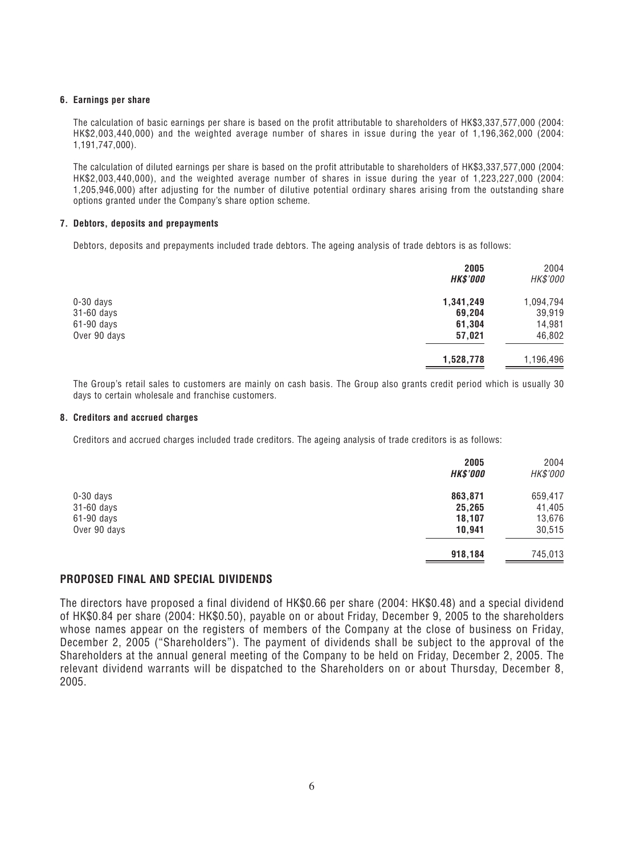#### **6. Earnings per share**

*The calculation of basic earnings per share is based on the profit attributable to shareholders of HK\$3,337,577,000 (2004: HK\$2,003,440,000) and the weighted average number of shares in issue during the year of 1,196,362,000 (2004: 1,191,747,000).*

*The calculation of diluted earnings per share is based on the profit attributable to shareholders of HK\$3,337,577,000 (2004: HK\$2,003,440,000), and the weighted average number of shares in issue during the year of 1,223,227,000 (2004: 1,205,946,000) after adjusting for the number of dilutive potential ordinary shares arising from the outstanding share options granted under the Company's share option scheme.*

#### **7. Debtors, deposits and prepayments**

*Debtors, deposits and prepayments included trade debtors. The ageing analysis of trade debtors is as follows:*

|              | 2005<br><b>HK\$'000</b> | 2004<br>HK\$'000 |
|--------------|-------------------------|------------------|
| $0-30$ days  | 1,341,249               | 1,094,794        |
| 31-60 days   | 69,204                  | 39,919           |
| $61-90$ days | 61,304                  | 14,981           |
| Over 90 days | 57,021                  | 46,802           |
|              | 1,528,778               | 1,196,496        |

*The Group's retail sales to customers are mainly on cash basis. The Group also grants credit period which is usually 30 days to certain wholesale and franchise customers.*

#### **8. Creditors and accrued charges**

*Creditors and accrued charges included trade creditors. The ageing analysis of trade creditors is as follows:*

|              | 2005<br><b>HK\$'000</b> | 2004<br>HK\$'000 |
|--------------|-------------------------|------------------|
| $0-30$ days  | 863,871                 | 659,417          |
| 31-60 days   | 25,265                  | 41,405           |
| 61-90 days   | 18,107                  | 13,676           |
| Over 90 days | 10,941                  | 30,515           |
|              | 918,184                 | 745,013          |

### **PROPOSED FINAL AND SPECIAL DIVIDENDS**

*The directors have proposed a final dividend of HK\$0.66 per share (2004: HK\$0.48) and a special dividend of HK\$0.84 per share (2004: HK\$0.50), payable on or about Friday, December 9, 2005 to the shareholders whose names appear on the registers of members of the Company at the close of business on Friday, December 2, 2005 ("Shareholders"). The payment of dividends shall be subject to the approval of the Shareholders at the annual general meeting of the Company to be held on Friday, December 2, 2005. The relevant dividend warrants will be dispatched to the Shareholders on or about Thursday, December 8, 2005.*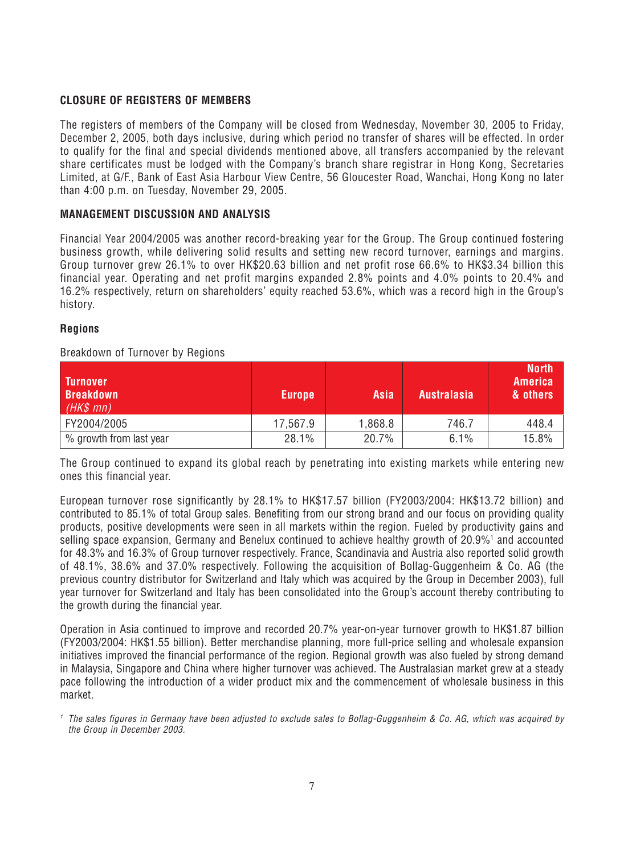# **CLOSURE OF REGISTERS OF MEMBERS**

*The registers of members of the Company will be closed from Wednesday, November 30, 2005 to Friday, December 2, 2005, both days inclusive, during which period no transfer of shares will be effected. In order to qualify for the final and special dividends mentioned above, all transfers accompanied by the relevant share certificates must be lodged with the Company's branch share registrar in Hong Kong, Secretaries Limited, at G/F., Bank of East Asia Harbour View Centre, 56 Gloucester Road, Wanchai, Hong Kong no later than 4:00 p.m. on Tuesday, November 29, 2005.*

### **MANAGEMENT DISCUSSION AND ANALYSIS**

*Financial Year 2004/2005 was another record-breaking year for the Group. The Group continued fostering business growth, while delivering solid results and setting new record turnover, earnings and margins. Group turnover grew 26.1% to over HK\$20.63 billion and net profit rose 66.6% to HK\$3.34 billion this financial year. Operating and net profit margins expanded 2.8% points and 4.0% points to 20.4% and 16.2% respectively, return on shareholders' equity reached 53.6%, which was a record high in the Group's history.*

### **Regions**

### *Breakdown of Turnover by Regions*

| <b>Turnover</b><br><b>Breakdown</b><br>$(HK$$ mn) | <b>Europe</b> | Asia    | <b>Australasia</b> | North,<br><b>America</b><br>& others |
|---------------------------------------------------|---------------|---------|--------------------|--------------------------------------|
| FY2004/2005                                       | 17,567.9      | 8.868.1 | 746.7              | 448.4                                |
| % growth from last year                           | 28.1%         | 20.7%   | 6.1%               | 15.8%                                |

*The Group continued to expand its global reach by penetrating into existing markets while entering new ones this financial year.*

*European turnover rose significantly by 28.1% to HK\$17.57 billion (FY2003/2004: HK\$13.72 billion) and contributed to 85.1% of total Group sales. Benefiting from our strong brand and our focus on providing quality products, positive developments were seen in all markets within the region. Fueled by productivity gains and selling space expansion, Germany and Benelux continued to achieve healthy growth of 20.9%1 and accounted for 48.3% and 16.3% of Group turnover respectively. France, Scandinavia and Austria also reported solid growth of 48.1%, 38.6% and 37.0% respectively. Following the acquisition of Bollag-Guggenheim & Co. AG (the previous country distributor for Switzerland and Italy which was acquired by the Group in December 2003), full year turnover for Switzerland and Italy has been consolidated into the Group's account thereby contributing to the growth during the financial year.*

*Operation in Asia continued to improve and recorded 20.7% year-on-year turnover growth to HK\$1.87 billion (FY2003/2004: HK\$1.55 billion). Better merchandise planning, more full-price selling and wholesale expansion initiatives improved the financial performance of the region. Regional growth was also fueled by strong demand in Malaysia, Singapore and China where higher turnover was achieved. The Australasian market grew at a steady pace following the introduction of a wider product mix and the commencement of wholesale business in this market.*

*<sup>1</sup> The sales figures in Germany have been adjusted to exclude sales to Bollag-Guggenheim & Co. AG, which was acquired by the Group in December 2003.*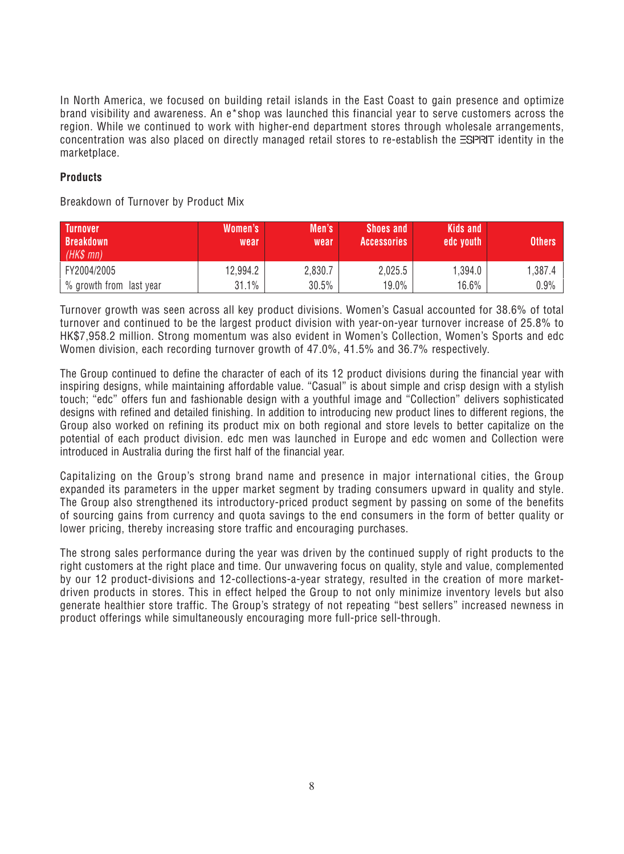*In North America, we focused on building retail islands in the East Coast to gain presence and optimize brand visibility and awareness. An e\*shop was launched this financial year to serve customers across the region. While we continued to work with higher-end department stores through wholesale arrangements, concentration was also placed on directly managed retail stores to re-establish the ESPRIT identity in the marketplace.*

# **Products**

*Breakdown of Turnover by Product Mix*

| <b>Turnover</b><br><b>Breakdown</b><br>$(HKS$ mn) | Women's<br>wear | Men's<br>wear | <b>Shoes and</b><br><b>Accessories</b> | Kids and<br>edc youth | <b>Others</b> |
|---------------------------------------------------|-----------------|---------------|----------------------------------------|-----------------------|---------------|
| FY2004/2005                                       | 12,994.2        | 2,830.7       | 2,025.5                                | 1.394.0               | 1.387.4       |
| % growth from last year                           | 31.1%           | 30.5%         | $19.0\%$                               | $16.6\%$              | 0.9%          |

*Turnover growth was seen across all key product divisions. Women's Casual accounted for 38.6% of total turnover and continued to be the largest product division with year-on-year turnover increase of 25.8% to HK\$7,958.2 million. Strong momentum was also evident in Women's Collection, Women's Sports and edc Women division, each recording turnover growth of 47.0%, 41.5% and 36.7% respectively.*

*The Group continued to define the character of each of its 12 product divisions during the financial year with inspiring designs, while maintaining affordable value. "Casual" is about simple and crisp design with a stylish touch; "edc" offers fun and fashionable design with a youthful image and "Collection" delivers sophisticated designs with refined and detailed finishing. In addition to introducing new product lines to different regions, the Group also worked on refining its product mix on both regional and store levels to better capitalize on the potential of each product division. edc men was launched in Europe and edc women and Collection were introduced in Australia during the first half of the financial year.*

*Capitalizing on the Group's strong brand name and presence in major international cities, the Group expanded its parameters in the upper market segment by trading consumers upward in quality and style. The Group also strengthened its introductory-priced product segment by passing on some of the benefits of sourcing gains from currency and quota savings to the end consumers in the form of better quality or lower pricing, thereby increasing store traffic and encouraging purchases.*

*The strong sales performance during the year was driven by the continued supply of right products to the right customers at the right place and time. Our unwavering focus on quality, style and value, complemented by our 12 product-divisions and 12-collections-a-year strategy, resulted in the creation of more marketdriven products in stores. This in effect helped the Group to not only minimize inventory levels but also generate healthier store traffic. The Group's strategy of not repeating "best sellers" increased newness in product offerings while simultaneously encouraging more full-price sell-through.*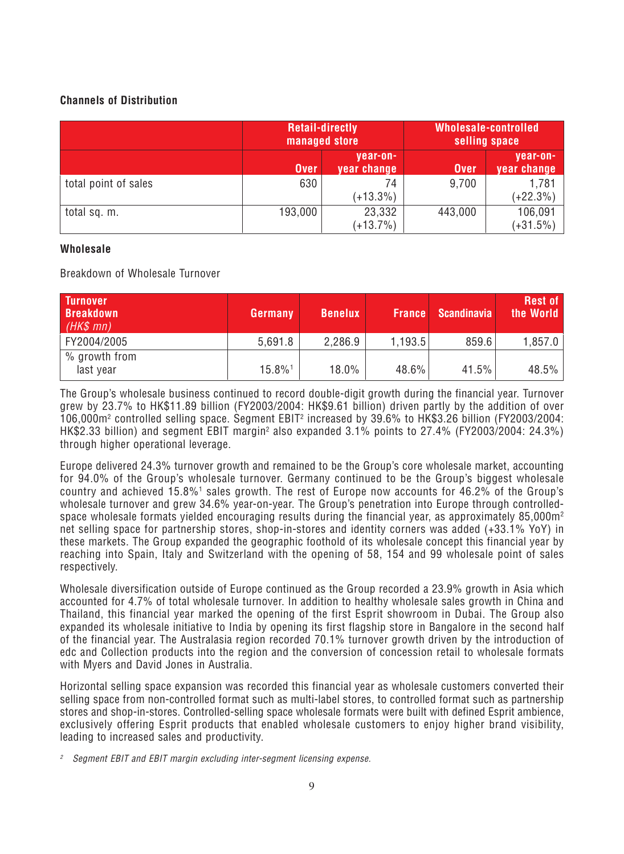# **Channels of Distribution**

|                      |             | <b>Retail-directly</b><br>managed store | <b>Wholesale-controlled</b><br>selling space |                         |  |
|----------------------|-------------|-----------------------------------------|----------------------------------------------|-------------------------|--|
|                      | <b>Over</b> | year-on-<br>year change                 | <b>Over</b>                                  | year-on-<br>year change |  |
| total point of sales | 630         | 74<br>$(+13.3\%)$                       | 9,700                                        | 1,781<br>$(+22.3%)$     |  |
| total sq. m.         | 193,000     | 23,332<br>$(+13.7%)$                    | 443,000                                      | 106,091<br>$(+31.5%)$   |  |

# **Wholesale**

*Breakdown of Wholesale Turnover*

| <b>Turnover</b><br><b>Breakdown</b><br>$(HK$$ mn) | Germany | <b>Benelux</b> | <b>France</b> | <b>Scandinavia</b> | <b>Rest of</b><br>the World |
|---------------------------------------------------|---------|----------------|---------------|--------------------|-----------------------------|
| FY2004/2005                                       | 5,691.8 | 2,286.9        | 1,193.5       | 859.6              | $1,857.0$                   |
| % growth from<br>last year                        | 15.8%1  | 18.0%          | 48.6%         | 41.5%              | $48.5\%$                    |

*The Group's wholesale business continued to record double-digit growth during the financial year. Turnover grew by 23.7% to HK\$11.89 billion (FY2003/2004: HK\$9.61 billion) driven partly by the addition of over 106,000m2 controlled selling space. Segment EBIT2 increased by 39.6% to HK\$3.26 billion (FY2003/2004:* HK\$2.33 billion) and segment EBIT margin<sup>2</sup> also expanded 3.1% points to 27.4% (FY2003/2004: 24.3%) *through higher operational leverage.*

*Europe delivered 24.3% turnover growth and remained to be the Group's core wholesale market, accounting for 94.0% of the Group's wholesale turnover. Germany continued to be the Group's biggest wholesale country and achieved 15.8%1 sales growth. The rest of Europe now accounts for 46.2% of the Group's wholesale turnover and grew 34.6% year-on-year. The Group's penetration into Europe through controlledspace wholesale formats yielded encouraging results during the financial year, as approximately 85,000m2 net selling space for partnership stores, shop-in-stores and identity corners was added (+33.1% YoY) in these markets. The Group expanded the geographic foothold of its wholesale concept this financial year by reaching into Spain, Italy and Switzerland with the opening of 58, 154 and 99 wholesale point of sales respectively.*

*Wholesale diversification outside of Europe continued as the Group recorded a 23.9% growth in Asia which accounted for 4.7% of total wholesale turnover. In addition to healthy wholesale sales growth in China and Thailand, this financial year marked the opening of the first Esprit showroom in Dubai. The Group also expanded its wholesale initiative to India by opening its first flagship store in Bangalore in the second half of the financial year. The Australasia region recorded 70.1% turnover growth driven by the introduction of edc and Collection products into the region and the conversion of concession retail to wholesale formats with Myers and David Jones in Australia.*

*Horizontal selling space expansion was recorded this financial year as wholesale customers converted their selling space from non-controlled format such as multi-label stores, to controlled format such as partnership stores and shop-in-stores. Controlled-selling space wholesale formats were built with defined Esprit ambience, exclusively offering Esprit products that enabled wholesale customers to enjoy higher brand visibility, leading to increased sales and productivity.*

*<sup>2</sup> Segment EBIT and EBIT margin excluding inter-segment licensing expense.*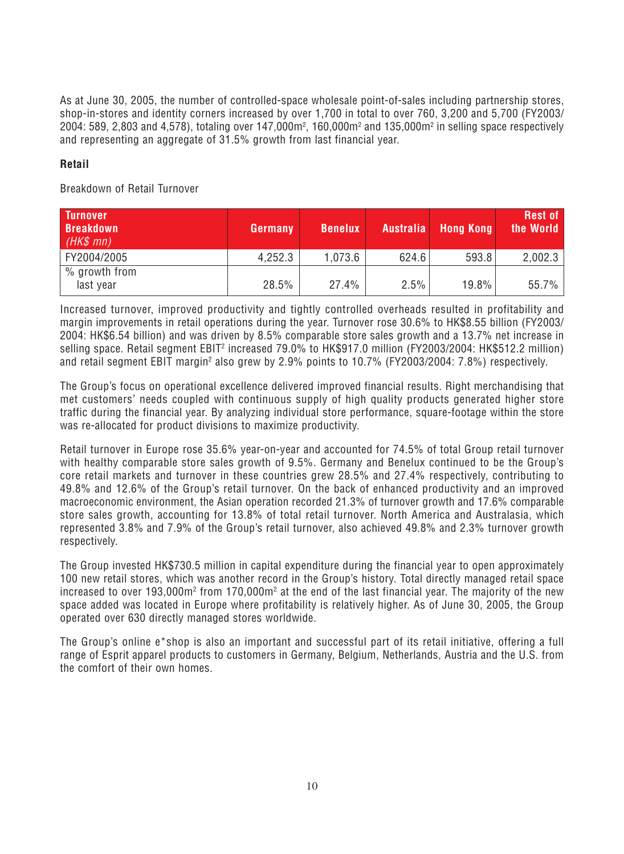*As at June 30, 2005, the number of controlled-space wholesale point-of-sales including partnership stores, shop-in-stores and identity corners increased by over 1,700 in total to over 760, 3,200 and 5,700 (FY2003/ 2004: 589, 2,803 and 4,578), totaling over 147,000m2 , 160,000m2 and 135,000m2 in selling space respectively and representing an aggregate of 31.5% growth from last financial year.*

# **Retail**

*Breakdown of Retail Turnover*

| <b>Turnover</b><br><b>Breakdown</b><br>$(HK$$ mn) | Germany | <b>Benelux</b> | <b>Australia</b> | <b>Hong Kong</b> | <b>Rest of</b><br>the World |
|---------------------------------------------------|---------|----------------|------------------|------------------|-----------------------------|
| FY2004/2005                                       | 4,252.3 | 1,073.6        | 624.6            | 593.8            | 2,002.3                     |
| % growth from<br>last year                        | 28.5%   | 27.4%          | 2.5%             | 19.8%            | 55.7%                       |

*Increased turnover, improved productivity and tightly controlled overheads resulted in profitability and margin improvements in retail operations during the year. Turnover rose 30.6% to HK\$8.55 billion (FY2003/ 2004: HK\$6.54 billion) and was driven by 8.5% comparable store sales growth and a 13.7% net increase in selling space. Retail segment EBIT2 increased 79.0% to HK\$917.0 million (FY2003/2004: HK\$512.2 million)* and retail segment EBIT margin<sup>2</sup> also grew by 2.9% points to 10.7% (FY2003/2004: 7.8%) respectively.

*The Group's focus on operational excellence delivered improved financial results. Right merchandising that met customers' needs coupled with continuous supply of high quality products generated higher store traffic during the financial year. By analyzing individual store performance, square-footage within the store was re-allocated for product divisions to maximize productivity.*

*Retail turnover in Europe rose 35.6% year-on-year and accounted for 74.5% of total Group retail turnover with healthy comparable store sales growth of 9.5%. Germany and Benelux continued to be the Group's core retail markets and turnover in these countries grew 28.5% and 27.4% respectively, contributing to 49.8% and 12.6% of the Group's retail turnover. On the back of enhanced productivity and an improved macroeconomic environment, the Asian operation recorded 21.3% of turnover growth and 17.6% comparable store sales growth, accounting for 13.8% of total retail turnover. North America and Australasia, which represented 3.8% and 7.9% of the Group's retail turnover, also achieved 49.8% and 2.3% turnover growth respectively.*

*The Group invested HK\$730.5 million in capital expenditure during the financial year to open approximately 100 new retail stores, which was another record in the Group's history. Total directly managed retail space* increased to over 193,000m<sup>2</sup> from 170,000m<sup>2</sup> at the end of the last financial year. The majority of the new *space added was located in Europe where profitability is relatively higher. As of June 30, 2005, the Group operated over 630 directly managed stores worldwide.*

*The Group's online e\*shop is also an important and successful part of its retail initiative, offering a full range of Esprit apparel products to customers in Germany, Belgium, Netherlands, Austria and the U.S. from the comfort of their own homes.*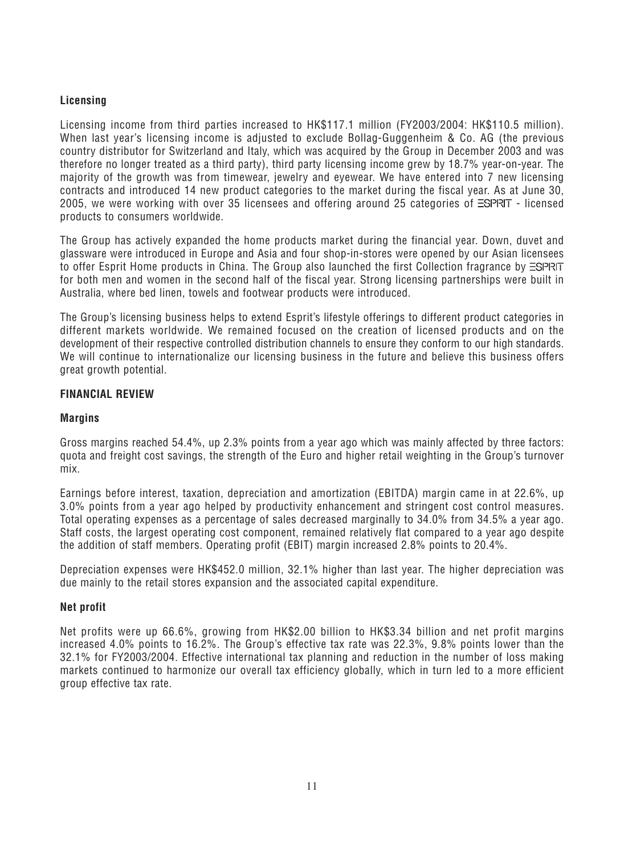# **Licensing**

*Licensing income from third parties increased to HK\$117.1 million (FY2003/2004: HK\$110.5 million). When last year's licensing income is adjusted to exclude Bollag-Guggenheim & Co. AG (the previous country distributor for Switzerland and Italy, which was acquired by the Group in December 2003 and was therefore no longer treated as a third party), third party licensing income grew by 18.7% year-on-year. The majority of the growth was from timewear, jewelry and eyewear. We have entered into 7 new licensing contracts and introduced 14 new product categories to the market during the fiscal year. As at June 30,* 2005, we were working with over 35 licensees and offering around 25 categories of  $\equiv$ SPRIT - licensed *products to consumers worldwide.*

*The Group has actively expanded the home products market during the financial year. Down, duvet and glassware were introduced in Europe and Asia and four shop-in-stores were opened by our Asian licensees* to offer Esprit Home products in China. The Group also launched the first Collection fragrance by *ESPRIT for both men and women in the second half of the fiscal year. Strong licensing partnerships were built in Australia, where bed linen, towels and footwear products were introduced.*

*The Group's licensing business helps to extend Esprit's lifestyle offerings to different product categories in different markets worldwide. We remained focused on the creation of licensed products and on the development of their respective controlled distribution channels to ensure they conform to our high standards. We will continue to internationalize our licensing business in the future and believe this business offers great growth potential.*

# **FINANCIAL REVIEW**

# **Margins**

*Gross margins reached 54.4%, up 2.3% points from a year ago which was mainly affected by three factors: quota and freight cost savings, the strength of the Euro and higher retail weighting in the Group's turnover mix.*

*Earnings before interest, taxation, depreciation and amortization (EBITDA) margin came in at 22.6%, up 3.0% points from a year ago helped by productivity enhancement and stringent cost control measures. Total operating expenses as a percentage of sales decreased marginally to 34.0% from 34.5% a year ago. Staff costs, the largest operating cost component, remained relatively flat compared to a year ago despite the addition of staff members. Operating profit (EBIT) margin increased 2.8% points to 20.4%.*

*Depreciation expenses were HK\$452.0 million, 32.1% higher than last year. The higher depreciation was due mainly to the retail stores expansion and the associated capital expenditure.*

### **Net profit**

*Net profits were up 66.6%, growing from HK\$2.00 billion to HK\$3.34 billion and net profit margins increased 4.0% points to 16.2%. The Group's effective tax rate was 22.3%, 9.8% points lower than the 32.1% for FY2003/2004. Effective international tax planning and reduction in the number of loss making markets continued to harmonize our overall tax efficiency globally, which in turn led to a more efficient group effective tax rate.*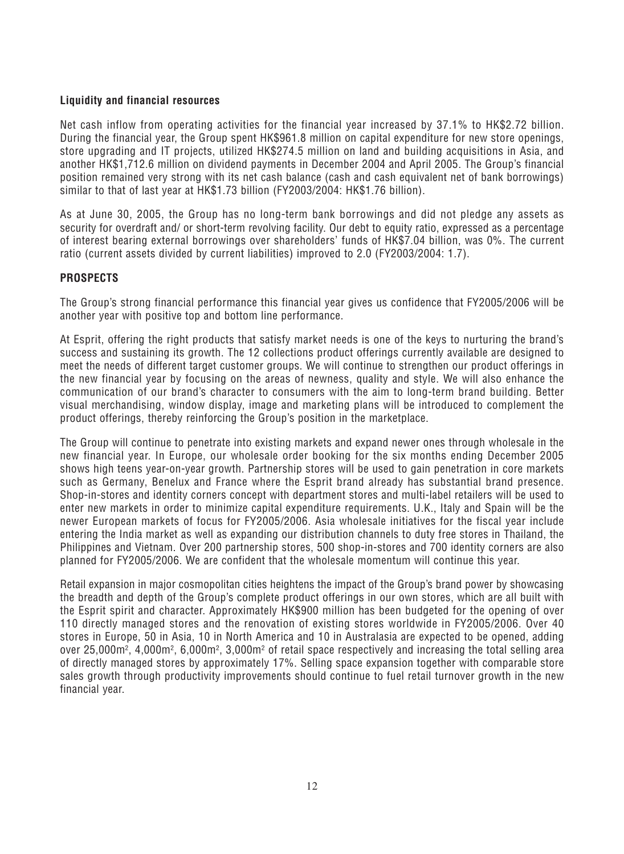# **Liquidity and financial resources**

*Net cash inflow from operating activities for the financial year increased by 37.1% to HK\$2.72 billion. During the financial year, the Group spent HK\$961.8 million on capital expenditure for new store openings, store upgrading and IT projects, utilized HK\$274.5 million on land and building acquisitions in Asia, and another HK\$1,712.6 million on dividend payments in December 2004 and April 2005. The Group's financial position remained very strong with its net cash balance (cash and cash equivalent net of bank borrowings) similar to that of last year at HK\$1.73 billion (FY2003/2004: HK\$1.76 billion).*

*As at June 30, 2005, the Group has no long-term bank borrowings and did not pledge any assets as security for overdraft and/ or short-term revolving facility. Our debt to equity ratio, expressed as a percentage of interest bearing external borrowings over shareholders' funds of HK\$7.04 billion, was 0%. The current ratio (current assets divided by current liabilities) improved to 2.0 (FY2003/2004: 1.7).*

# **PROSPECTS**

*The Group's strong financial performance this financial year gives us confidence that FY2005/2006 will be another year with positive top and bottom line performance.*

*At Esprit, offering the right products that satisfy market needs is one of the keys to nurturing the brand's success and sustaining its growth. The 12 collections product offerings currently available are designed to meet the needs of different target customer groups. We will continue to strengthen our product offerings in the new financial year by focusing on the areas of newness, quality and style. We will also enhance the communication of our brand's character to consumers with the aim to long-term brand building. Better visual merchandising, window display, image and marketing plans will be introduced to complement the product offerings, thereby reinforcing the Group's position in the marketplace.*

*The Group will continue to penetrate into existing markets and expand newer ones through wholesale in the new financial year. In Europe, our wholesale order booking for the six months ending December 2005 shows high teens year-on-year growth. Partnership stores will be used to gain penetration in core markets such as Germany, Benelux and France where the Esprit brand already has substantial brand presence. Shop-in-stores and identity corners concept with department stores and multi-label retailers will be used to enter new markets in order to minimize capital expenditure requirements. U.K., Italy and Spain will be the newer European markets of focus for FY2005/2006. Asia wholesale initiatives for the fiscal year include entering the India market as well as expanding our distribution channels to duty free stores in Thailand, the Philippines and Vietnam. Over 200 partnership stores, 500 shop-in-stores and 700 identity corners are also planned for FY2005/2006. We are confident that the wholesale momentum will continue this year.*

*Retail expansion in major cosmopolitan cities heightens the impact of the Group's brand power by showcasing the breadth and depth of the Group's complete product offerings in our own stores, which are all built with the Esprit spirit and character. Approximately HK\$900 million has been budgeted for the opening of over 110 directly managed stores and the renovation of existing stores worldwide in FY2005/2006. Over 40 stores in Europe, 50 in Asia, 10 in North America and 10 in Australasia are expected to be opened, adding* over 25,000m², 4,000m², 6,000m², 3,000m² of retail space respectively and increasing the total selling area *of directly managed stores by approximately 17%. Selling space expansion together with comparable store sales growth through productivity improvements should continue to fuel retail turnover growth in the new financial year.*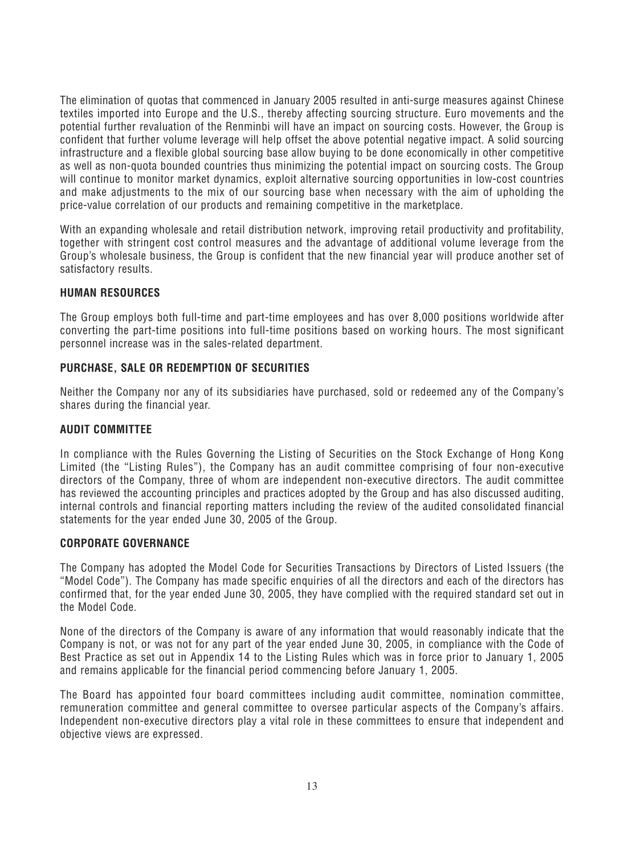*The elimination of quotas that commenced in January 2005 resulted in anti-surge measures against Chinese textiles imported into Europe and the U.S., thereby affecting sourcing structure. Euro movements and the potential further revaluation of the Renminbi will have an impact on sourcing costs. However, the Group is confident that further volume leverage will help offset the above potential negative impact. A solid sourcing infrastructure and a flexible global sourcing base allow buying to be done economically in other competitive as well as non-quota bounded countries thus minimizing the potential impact on sourcing costs. The Group will continue to monitor market dynamics, exploit alternative sourcing opportunities in low-cost countries and make adjustments to the mix of our sourcing base when necessary with the aim of upholding the price-value correlation of our products and remaining competitive in the marketplace.*

*With an expanding wholesale and retail distribution network, improving retail productivity and profitability, together with stringent cost control measures and the advantage of additional volume leverage from the Group's wholesale business, the Group is confident that the new financial year will produce another set of satisfactory results.*

# **HUMAN RESOURCES**

*The Group employs both full-time and part-time employees and has over 8,000 positions worldwide after converting the part-time positions into full-time positions based on working hours. The most significant personnel increase was in the sales-related department.*

# **PURCHASE, SALE OR REDEMPTION OF SECURITIES**

*Neither the Company nor any of its subsidiaries have purchased, sold or redeemed any of the Company's shares during the financial year.*

# **AUDIT COMMITTEE**

*In compliance with the Rules Governing the Listing of Securities on the Stock Exchange of Hong Kong Limited (the "Listing Rules"), the Company has an audit committee comprising of four non-executive directors of the Company, three of whom are independent non-executive directors. The audit committee has reviewed the accounting principles and practices adopted by the Group and has also discussed auditing, internal controls and financial reporting matters including the review of the audited consolidated financial statements for the year ended June 30, 2005 of the Group.*

# **CORPORATE GOVERNANCE**

*The Company has adopted the Model Code for Securities Transactions by Directors of Listed Issuers (the "Model Code"). The Company has made specific enquiries of all the directors and each of the directors has confirmed that, for the year ended June 30, 2005, they have complied with the required standard set out in the Model Code.*

*None of the directors of the Company is aware of any information that would reasonably indicate that the Company is not, or was not for any part of the year ended June 30, 2005, in compliance with the Code of Best Practice as set out in Appendix 14 to the Listing Rules which was in force prior to January 1, 2005 and remains applicable for the financial period commencing before January 1, 2005.*

*The Board has appointed four board committees including audit committee, nomination committee, remuneration committee and general committee to oversee particular aspects of the Company's affairs. Independent non-executive directors play a vital role in these committees to ensure that independent and objective views are expressed.*